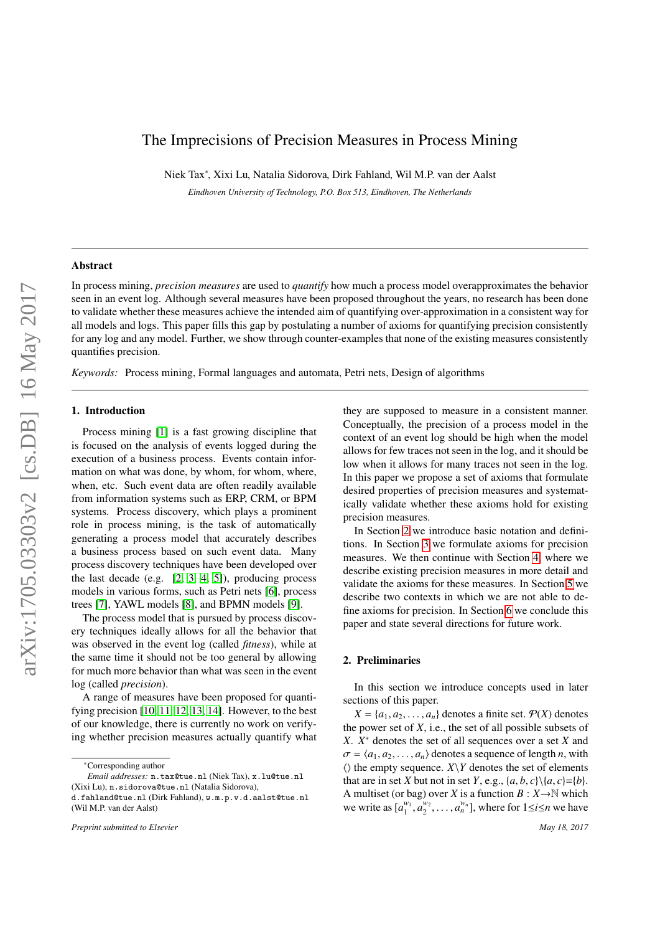# The Imprecisions of Precision Measures in Process Mining

Niek Tax<sup>∗</sup> , Xixi Lu, Natalia Sidorova, Dirk Fahland, Wil M.P. van der Aalst

*Eindhoven University of Technology, P.O. Box 513, Eindhoven, The Netherlands*

# Abstract

In process mining, *precision measures* are used to *quantify* how much a process model overapproximates the behavior seen in an event log. Although several measures have been proposed throughout the years, no research has been done to validate whether these measures achieve the intended aim of quantifying over-approximation in a consistent way for all models and logs. This paper fills this gap by postulating a number of axioms for quantifying precision consistently for any log and any model. Further, we show through counter-examples that none of the existing measures consistently quantifies precision.

*Keywords:* Process mining, Formal languages and automata, Petri nets, Design of algorithms

# 1. Introduction

Process mining [\[1\]](#page-8-0) is a fast growing discipline that is focused on the analysis of events logged during the execution of a business process. Events contain information on what was done, by whom, for whom, where, when, etc. Such event data are often readily available from information systems such as ERP, CRM, or BPM systems. Process discovery, which plays a prominent role in process mining, is the task of automatically generating a process model that accurately describes a business process based on such event data. Many process discovery techniques have been developed over the last decade (e.g. [\[2,](#page-8-1) [3,](#page-8-2) [4,](#page-8-3) [5\]](#page-8-4)), producing process models in various forms, such as Petri nets [\[6\]](#page-8-5), process trees [\[7\]](#page-8-6), YAWL models [\[8\]](#page-8-7), and BPMN models [\[9\]](#page-8-8).

The process model that is pursued by process discovery techniques ideally allows for all the behavior that was observed in the event log (called *fitness*), while at the same time it should not be too general by allowing for much more behavior than what was seen in the event log (called *precision*).

A range of measures have been proposed for quantifying precision [\[10,](#page-8-9) [11,](#page-8-10) [12,](#page-8-11) [13,](#page-8-12) [14\]](#page-8-13). However, to the best of our knowledge, there is currently no work on verifying whether precision measures actually quantify what

<sup>∗</sup>Corresponding author

*Preprint submitted to Elsevier May 18, 2017*

they are supposed to measure in a consistent manner. Conceptually, the precision of a process model in the context of an event log should be high when the model allows for few traces not seen in the log, and it should be low when it allows for many traces not seen in the log. In this paper we propose a set of axioms that formulate desired properties of precision measures and systematically validate whether these axioms hold for existing precision measures.

In Section [2](#page-0-0) we introduce basic notation and definitions. In Section [3](#page-1-0) we formulate axioms for precision measures. We then continue with Section [4,](#page-2-0) where we describe existing precision measures in more detail and validate the axioms for these measures. In Section [5](#page-7-0) we describe two contexts in which we are not able to define axioms for precision. In Section [6](#page-7-1) we conclude this paper and state several directions for future work.

# <span id="page-0-0"></span>2. Preliminaries

In this section we introduce concepts used in later sections of this paper.

 $X = \{a_1, a_2, \ldots, a_n\}$  denotes a finite set.  $P(X)$  denotes the power set of  $X$ , i.e., the set of all possible subsets of *X*. *X* <sup>∗</sup> denotes the set of all sequences over a set *X* and  $\sigma = \langle a_1, a_2, \dots, a_n \rangle$  denotes a sequence of length *n*, with  $\langle \rangle$  the empty sequence. *X* $\Y$  denotes the set of elements that are in set *X* but not in set *Y*, e.g.,  $\{a, b, c\} \setminus \{a, c\} = \{b\}.$ A multiset (or bag) over *X* is a function  $B: X \to \mathbb{N}$  which we write as  $[a_1^{w_1}, a_2^{w_2}, \dots, a_n^{w_n}]$ , where for  $1 \le i \le n$  we have

*Email addresses:* n.tax@tue.nl (Niek Tax), x.lu@tue.nl (Xixi Lu), n.sidorova@tue.nl (Natalia Sidorova), d.fahland@tue.nl (Dirk Fahland), w.m.p.v.d.aalst@tue.nl (Wil M.P. van der Aalst)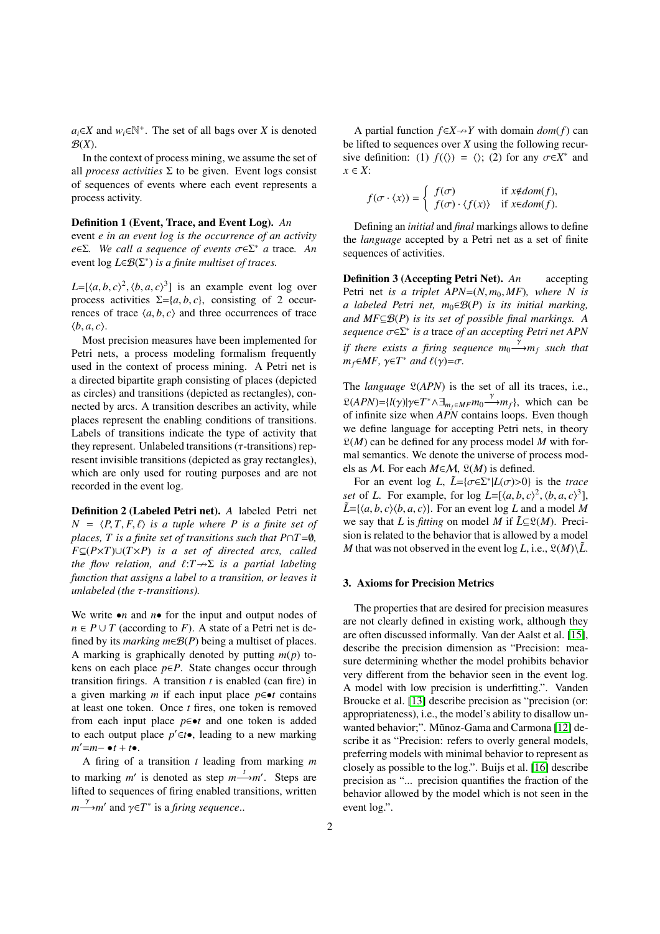$a_i$ ∈*X* and  $w_i$ ∈<sup>N+</sup>. The set of all bags over *X* is denoted  $\mathcal{B}(X)$ .

In the context of process mining, we assume the set of all *process activities*  $\Sigma$  to be given. Event logs consist of sequences of events where each event represents a process activity.

# Definition 1 (Event, Trace, and Event Log). *An*

event *e in an event log is the occurrence of an activity <sup>e</sup>*∈Σ*. We call a sequence of events* σ∈<sup>Σ</sup> <sup>∗</sup> *a* trace*. An* event  $\log L \in \mathcal{B}(\Sigma^*)$  *is a finite multiset of traces.* 

 $L = [\langle a, b, c \rangle^2, \langle b, a, c \rangle^3]$  is an example event log over<br>process activities  $\Sigma = \{a, b, c\}$  consisting of 2 occurprocess activities  $\Sigma = \{a, b, c\}$ , consisting of 2 occurrences of trace  $\langle a, b, c \rangle$  and three occurrences of trace  $\langle b, a, c \rangle$ .

Most precision measures have been implemented for Petri nets, a process modeling formalism frequently used in the context of process mining. A Petri net is a directed bipartite graph consisting of places (depicted as circles) and transitions (depicted as rectangles), connected by arcs. A transition describes an activity, while places represent the enabling conditions of transitions. Labels of transitions indicate the type of activity that they represent. Unlabeled transitions ( $\tau$ -transitions) represent invisible transitions (depicted as gray rectangles), which are only used for routing purposes and are not recorded in the event log.

Definition 2 (Labeled Petri net). *A* labeled Petri net  $N = \langle P, T, F, \ell \rangle$  *is a tuple where P is a finite set of places, T is a finite set of transitions such that P* $\cap$ *T=0, F*⊆(*P*×*T*)∪(*T*×*P*) *is a set of directed arcs, called the flow relation, and*  $\ell: T \to \Sigma$  *is a partial labeling function that assigns a label to a transition, or leaves it unlabeled (the* τ*-transitions).*

We write  $\bullet$ *n* and *n* $\bullet$  for the input and output nodes of  $n \in P \cup T$  (according to *F*). A state of a Petri net is defined by its *marking*  $m \in \mathcal{B}(P)$  being a multiset of places. A marking is graphically denoted by putting *m*(*p*) tokens on each place  $p ∈ P$ . State changes occur through transition firings. A transition *t* is enabled (can fire) in a given marking *m* if each input place  $p \in \bullet t$  contains at least one token. Once *t* fires, one token is removed from each input place *p*∈•*t* and one token is added to each output place *p*'∈*t*•, leading to a new marking  $m' = m - \bullet t + t \bullet$ .

A firing of a transition *t* leading from marking *m* to marking *m'* is denoted as step  $m \stackrel{t}{\longrightarrow} m'$ . Steps are lifted to sequences of firing enabled transitions, written  $m \longrightarrow m'$  and  $\gamma \in T^*$  is a *firing sequence*..

A partial function  $f \in X \rightarrow Y$  with domain *dom*(*f*) can be lifted to sequences over *X* using the following recursive definition: (1)  $f(\langle \rangle) = \langle \rangle$ ; (2) for any  $\sigma \in X^*$  and  $x \in Y$ . *x* ∈ *X*:

$$
f(\sigma \cdot \langle x \rangle) = \begin{cases} f(\sigma) & \text{if } x \notin dom(f), \\ f(\sigma) \cdot \langle f(x) \rangle & \text{if } x \in dom(f). \end{cases}
$$

Defining an *initial* and *final* markings allows to define the *language* accepted by a Petri net as a set of finite sequences of activities.

Definition 3 (Accepting Petri Net). *An* accepting Petri net *is a triplet APN*= $(N, m_0, MF)$ , where *N* is *a labeled Petri net, m*0∈B(*P*) *is its initial marking, and MF*⊆B(*P*) *is its set of possible final markings. A sequence*  $\sigma \in \Sigma^*$  *is a* trace *of an accepting Petri net APN*<br>*is a i d i f i f i f i i l d if there exists a firing sequence*  $m_0 \rightarrow m_f$  *such that*  $m_f \in MF$ ,  $\gamma \in T^*$  *and*  $\ell(\gamma) = \sigma$ .

The *language*  $\mathfrak{L}(APN)$  is the set of all its traces, i.e.,  $\mathcal{L}(APN) = \{l(\gamma)|\gamma \in T^* \land \exists_{m_f \in MF} m_0 \xrightarrow{f} m_f\}$ , which can be of infinite size when *APN* contains loops. Even though of infinite size when *APN* contains loops. Even though we define language for accepting Petri nets, in theory  $\mathfrak{L}(M)$  can be defined for any process model M with formal semantics. We denote the universe of process models as *M*. For each  $M \in \mathcal{M}$ ,  $\mathfrak{L}(M)$  is defined.

For an event log *L*,  $\tilde{L} = {\sigma \in \Sigma^* | L(\sigma) > 0}$  is the *trace*<br>*t* of *L*. For example, for log *L* = [(a, b, c)<sup>2</sup> (b, a, c)<sup>3</sup>] *set* of *L*. For example, for log  $L = [\langle a, b, c \rangle^2, \langle b, a, c \rangle^3]$ ,<br> $\tilde{L} = \{ \langle a, b, c \rangle \}$ ,  $\tilde{L} = \{ \langle a, b, c \rangle^2, \langle b, a, c \rangle^3 \}$  $\tilde{L} = \{\langle a, b, c \rangle \langle b, a, c \rangle\}.$  For an event log *L* and a model *M* we say that *L* is *fitting* on model *M* if  $L \subseteq \mathcal{L}(M)$ . Precision is related to the behavior that is allowed by a model *M* that was not observed in the event  $\log L$ , i.e.,  $\mathfrak{L}(M)\backslash\tilde{L}$ .

### <span id="page-1-0"></span>3. Axioms for Precision Metrics

The properties that are desired for precision measures are not clearly defined in existing work, although they are often discussed informally. Van der Aalst et al. [\[15\]](#page-8-14), describe the precision dimension as "Precision: measure determining whether the model prohibits behavior very different from the behavior seen in the event log. A model with low precision is underfitting.". Vanden Broucke et al. [\[13\]](#page-8-12) describe precision as "precision (or: appropriateness), i.e., the model's ability to disallow un-wanted behavior;". Mũnoz-Gama and Carmona [\[12\]](#page-8-11) describe it as "Precision: refers to overly general models, preferring models with minimal behavior to represent as closely as possible to the log.". Buijs et al. [\[16\]](#page-8-15) describe precision as "... precision quantifies the fraction of the behavior allowed by the model which is not seen in the event log.".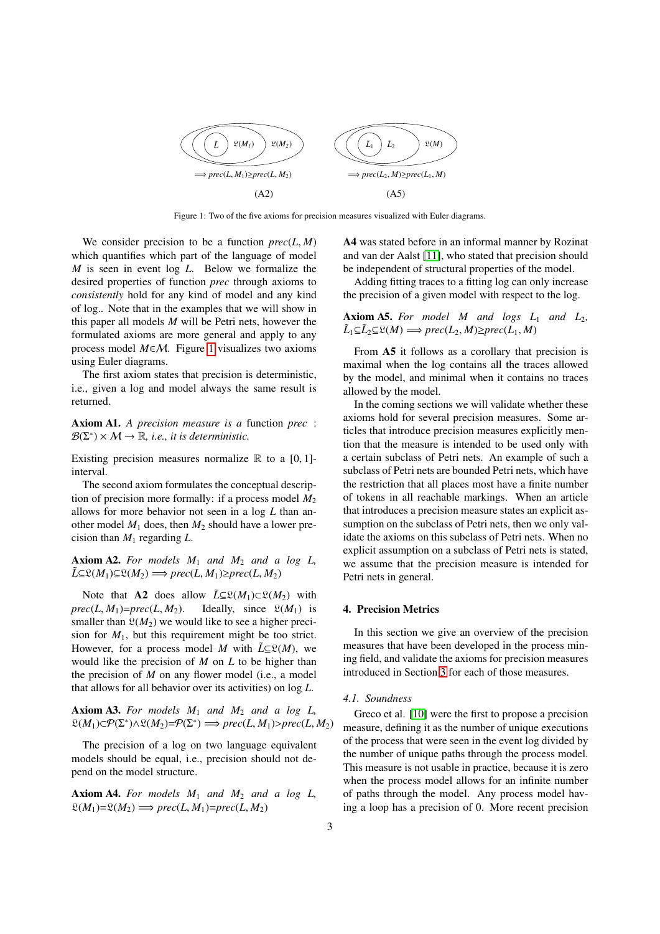<span id="page-2-1"></span>

Figure 1: Two of the five axioms for precision measures visualized with Euler diagrams.

We consider precision to be a function  $prec(L, M)$ which quantifies which part of the language of model *M* is seen in event log *L*. Below we formalize the desired properties of function *prec* through axioms to *consistently* hold for any kind of model and any kind of log.. Note that in the examples that we will show in this paper all models *M* will be Petri nets, however the formulated axioms are more general and apply to any process model *M*∈M. Figure [1](#page-2-1) visualizes two axioms using Euler diagrams.

The first axiom states that precision is deterministic, i.e., given a log and model always the same result is returned.

Axiom A1. *A precision measure is a* function *prec* :  $\mathcal{B}(\Sigma^*) \times \mathcal{M} \to \mathbb{R}$ , *i.e.*, *it is deterministic.* 

Existing precision measures normalize  $\mathbb R$  to a [0, 1]interval.

The second axiom formulates the conceptual description of precision more formally: if a process model  $M_2$ allows for more behavior not seen in a log *L* than another model  $M_1$  does, then  $M_2$  should have a lower precision than  $M_1$  regarding  $L$ .

# Axiom A2. *For models M*<sup>1</sup> *and M*<sup>2</sup> *and a log L,*  $\tilde{L}\subseteq \mathfrak{L}(M_1)\subseteq \mathfrak{L}(M_2) \Longrightarrow prec(L,M_1)\geq prec(L,M_2)$

Note that A2 does allow  $\tilde{L} \subseteq \mathcal{L}(M_1) \subset \mathcal{L}(M_2)$  with *prec*(*L*, *M*<sub>1</sub>)=*prec*(*L*, *M*<sub>2</sub>). Ideally, since  $\mathfrak{L}(M_1)$  is smaller than  $\mathfrak{L}(M_2)$  we would like to see a higher precision for  $M_1$ , but this requirement might be too strict. However, for a process model *M* with  $\tilde{L} \subseteq \mathcal{L}(M)$ , we would like the precision of *M* on *L* to be higher than the precision of *M* on any flower model (i.e., a model that allows for all behavior over its activities) on log *L*.

Axiom A3. *For models M*<sup>1</sup> *and M*<sup>2</sup> *and a log L,*  $\mathfrak{L}(M_1) \subset \mathcal{P}(\Sigma^*) \wedge \mathfrak{L}(M_2) = \mathcal{P}(\Sigma^*) \Longrightarrow \mathit{prec}(L, M_1) > \mathit{prec}(L, M_2)$ 

The precision of a log on two language equivalent models should be equal, i.e., precision should not depend on the model structure.

Axiom A4. *For models M*<sup>1</sup> *and M*<sup>2</sup> *and a log L,*  $\mathfrak{L}(M_1) = \mathfrak{L}(M_2) \Longrightarrow prec(L, M_1) = prec(L, M_2)$ 

A4 was stated before in an informal manner by Rozinat and van der Aalst [\[11\]](#page-8-10), who stated that precision should be independent of structural properties of the model.

Adding fitting traces to a fitting log can only increase the precision of a given model with respect to the log.

**Axiom A5.** For model M and logs  $L_1$  and  $L_2$ ,  $\tilde{L}_1 \subseteq \tilde{L}_2 \subseteq \mathfrak{L}(M) \Longrightarrow prec(L_2, M) \ge prec(L_1, M)$ 

From A5 it follows as a corollary that precision is maximal when the log contains all the traces allowed by the model, and minimal when it contains no traces allowed by the model.

In the coming sections we will validate whether these axioms hold for several precision measures. Some articles that introduce precision measures explicitly mention that the measure is intended to be used only with a certain subclass of Petri nets. An example of such a subclass of Petri nets are bounded Petri nets, which have the restriction that all places most have a finite number of tokens in all reachable markings. When an article that introduces a precision measure states an explicit assumption on the subclass of Petri nets, then we only validate the axioms on this subclass of Petri nets. When no explicit assumption on a subclass of Petri nets is stated, we assume that the precision measure is intended for Petri nets in general.

#### <span id="page-2-0"></span>4. Precision Metrics

In this section we give an overview of the precision measures that have been developed in the process mining field, and validate the axioms for precision measures introduced in Section [3](#page-1-0) for each of those measures.

# *4.1. Soundness*

Greco et al. [\[10\]](#page-8-9) were the first to propose a precision measure, defining it as the number of unique executions of the process that were seen in the event log divided by the number of unique paths through the process model. This measure is not usable in practice, because it is zero when the process model allows for an infinite number of paths through the model. Any process model having a loop has a precision of 0. More recent precision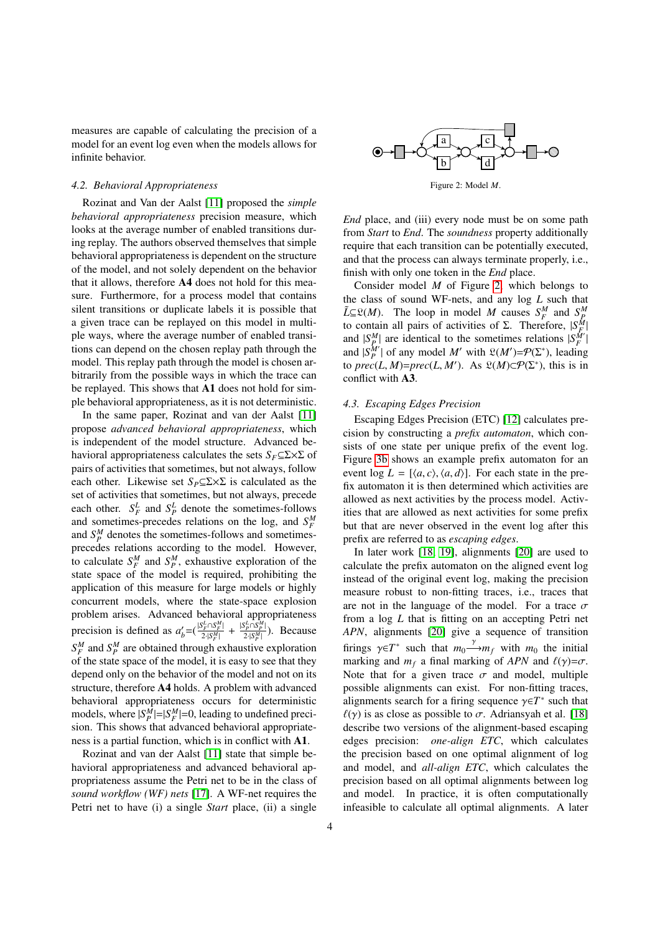measures are capable of calculating the precision of a model for an event log even when the models allows for infinite behavior.

#### *4.2. Behavioral Appropriateness*

Rozinat and Van der Aalst [\[11\]](#page-8-10) proposed the *simple behavioral appropriateness* precision measure, which looks at the average number of enabled transitions during replay. The authors observed themselves that simple behavioral appropriateness is dependent on the structure of the model, and not solely dependent on the behavior that it allows, therefore A4 does not hold for this measure. Furthermore, for a process model that contains silent transitions or duplicate labels it is possible that a given trace can be replayed on this model in multiple ways, where the average number of enabled transitions can depend on the chosen replay path through the model. This replay path through the model is chosen arbitrarily from the possible ways in which the trace can be replayed. This shows that A1 does not hold for simple behavioral appropriateness, as it is not deterministic.

In the same paper, Rozinat and van der Aalst [\[11\]](#page-8-10) propose *advanced behavioral appropriateness*, which is independent of the model structure. Advanced behavioral appropriateness calculates the sets  $S_F \subseteq \Sigma \times \Sigma$  of pairs of activities that sometimes, but not always, follow each other. Likewise set *SP*⊆Σ×Σ is calculated as the set of activities that sometimes, but not always, precede each other.  $S_F^L$  and  $S_P^L$  denote the sometimes-follows and sometimes-precedes relations on the log, and  $S_F^M$ and  $S_P^M$  denotes the sometimes-follows and sometimesprecedes relations according to the model. However, to calculate  $S_F^M$  and  $S_P^M$ , exhaustive exploration of the state space of the model is required, prohibiting the application of this measure for large models or highly concurrent models, where the state-space explosion problem arises. Advanced behavioral appropriateness precision is defined as  $a'_b = \left(\frac{|S_F^L \cap S_F^M|}{2\cdot |S_F^M|}\right)$  $\frac{S_F^L \cap S_F^M}{2 \cdot |S_F^M|}$  +  $\frac{|S_F^L \cap S_F^M|}{2 \cdot |S_F^M|}$  $\frac{P_P \cap S_P}{2 \cdot |S_P^M|}$ ). Because  $S_F^M$  and  $S_P^M$  are obtained through exhaustive exploration of the state space of the model, it is easy to see that they depend only on the behavior of the model and not on its structure, therefore A4 holds. A problem with advanced behavioral appropriateness occurs for deterministic models, where  $|S_P^M|=|S_F^M|=0$ , leading to undefined precision. This shows that advanced behavioral appropriateness is a partial function, which is in conflict with A1.

Rozinat and van der Aalst [\[11\]](#page-8-10) state that simple behavioral appropriateness and advanced behavioral appropriateness assume the Petri net to be in the class of *sound workflow (WF) nets* [\[17\]](#page-8-16). A WF-net requires the Petri net to have (i) a single *Start* place, (ii) a single

<span id="page-3-0"></span>

Figure 2: Model *M*.

*End* place, and (iii) every node must be on some path from *Start* to *End*. The *soundness* property additionally require that each transition can be potentially executed, and that the process can always terminate properly, i.e., finish with only one token in the *End* place.

Consider model *M* of Figure [2,](#page-3-0) which belongs to the class of sound WF-nets, and any log *L* such that  $\tilde{L}\subseteq \mathcal{L}(M)$ . The loop in model *M* causes  $S_F^M$  and  $S_P^M$ *F F F**F**F***<b>***P P F P**P P**F***<b>***P P P**P P**P P**P P**P P**P P**P P**P P**P**P**P**P***<b>***P**P**P**P**P**P***<b>***P**P***<b>***P*| | and  $|S_P^M|$  of any model *M'* with  $\mathfrak{L}(M') = \mathcal{P}(\Sigma^*)$ , leading to *prec*(*L*, *M*)=*prec*(*L*, *M'*). As  $\mathfrak{L}(M) \subset \mathcal{P}(\Sigma^*)$ , this is in conflict with **A3** conflict with A3.

#### *4.3. Escaping Edges Precision*

Escaping Edges Precision (ETC) [\[12\]](#page-8-11) calculates precision by constructing a *prefix automaton*, which consists of one state per unique prefix of the event log. Figure [3b](#page-4-0) shows an example prefix automaton for an event  $\log L = [\langle a, c \rangle, \langle a, d \rangle]$ . For each state in the prefix automaton it is then determined which activities are allowed as next activities by the process model. Activities that are allowed as next activities for some prefix but that are never observed in the event log after this prefix are referred to as *escaping edges*.

In later work [\[18,](#page-8-17) [19\]](#page-8-18), alignments [\[20\]](#page-8-19) are used to calculate the prefix automaton on the aligned event log instead of the original event log, making the precision measure robust to non-fitting traces, i.e., traces that are not in the language of the model. For a trace  $\sigma$ from a log *L* that is fitting on an accepting Petri net *APN*, alignments [\[20\]](#page-8-19) give a sequence of transition firings  $\gamma \in T^*$  such that  $m_0 \xrightarrow{f} m_f$  with  $m_0$  the initial<br>marking and  $m_0$  a final marking of APN and  $f(x) = \sigma$ marking and  $m_f$  a final marking of *APN* and  $\ell(\gamma) = \sigma$ . Note that for a given trace  $\sigma$  and model, multiple possible alignments can exist. For non-fitting traces, alignments search for a firing sequence  $\gamma \in T^*$  such that  $f(\gamma)$  is as close as possible to  $\tau$ . Adriansy about the all [18]  $\ell(\gamma)$  is as close as possible to  $\sigma$ . Adriansyah et al. [\[18\]](#page-8-17) describe two versions of the alignment-based escaping edges precision: *one-align ETC*, which calculates the precision based on one optimal alignment of log and model, and *all-align ETC*, which calculates the precision based on all optimal alignments between log and model. In practice, it is often computationally infeasible to calculate all optimal alignments. A later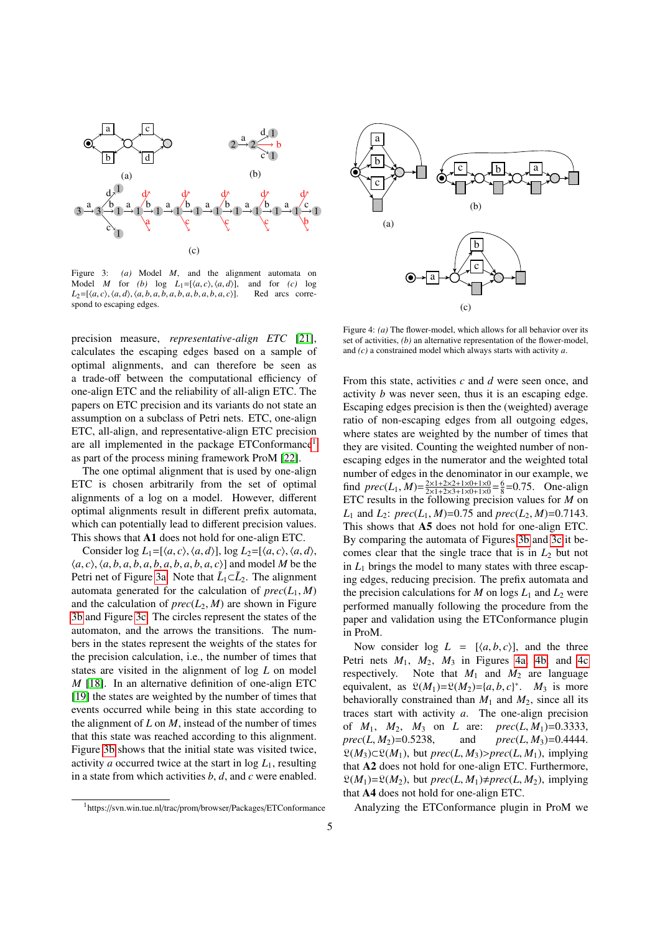<span id="page-4-0"></span>

Figure 3: *(a)* Model *M*, and the alignment automata on Model *M* for *(b)* log  $L_1 = \{(a, c), (a, d)\}$ , and for *(c)* log Model *M* for *(b)* log  $L_1 = [\langle a, c \rangle, \langle a, d \rangle]$ , and for *(c)* log  $L_2 = [\langle a, c \rangle, \langle a, d \rangle, \langle a, b, a, b, a, b, a, b, a, b, a, c \rangle]$ . Red arcs corre- $L_2 = [\langle a, c \rangle, \langle a, d \rangle, \langle a, b, a, b, a, b, a, b, a, b, a, c \rangle].$ spond to escaping edges.

precision measure, *representative-align ETC* [\[21\]](#page-8-20), calculates the escaping edges based on a sample of optimal alignments, and can therefore be seen as a trade-off between the computational efficiency of one-align ETC and the reliability of all-align ETC. The papers on ETC precision and its variants do not state an assumption on a subclass of Petri nets. ETC, one-align ETC, all-align, and representative-align ETC precision are all implemented in the package ETConformance<sup>[1](#page-4-1)</sup> as part of the process mining framework ProM [\[22\]](#page-8-21).

The one optimal alignment that is used by one-align ETC is chosen arbitrarily from the set of optimal alignments of a log on a model. However, different optimal alignments result in different prefix automata, which can potentially lead to different precision values. This shows that A1 does not hold for one-align ETC.

Consider  $\log L_1 = [\langle a, c \rangle, \langle a, d \rangle]$ ,  $\log L_2 = [\langle a, c \rangle, \langle a, d \rangle]$ ,  $\langle a, c \rangle$ ,  $\langle a, b, a, b, a, b, a, b, a, b, a, c \rangle$ ] and model *M* be the Petri net of Figure [3a.](#page-4-0) Note that  $\tilde{L}_1 \subset \tilde{L}_2$ . The alignment automata generated for the calculation of  $prec(L_1, M)$ and the calculation of  $prec(L_2, M)$  are shown in Figure [3b](#page-4-0) and Figure [3c.](#page-4-0) The circles represent the states of the automaton, and the arrows the transitions. The numbers in the states represent the weights of the states for the precision calculation, i.e., the number of times that states are visited in the alignment of log *L* on model *M* [\[18\]](#page-8-17). In an alternative definition of one-align ETC [\[19\]](#page-8-18) the states are weighted by the number of times that events occurred while being in this state according to the alignment of *L* on *M*, instead of the number of times that this state was reached according to this alignment. Figure [3b](#page-4-0) shows that the initial state was visited twice, activity *a* occurred twice at the start in  $\log L_1$ , resulting in a state from which activities *b*, *d*, and *c* were enabled.

<span id="page-4-2"></span>

Figure 4: *(a)* The flower-model, which allows for all behavior over its set of activities, *(b)* an alternative representation of the flower-model, and *(c)* a constrained model which always starts with activity *a*.

From this state, activities *c* and *d* were seen once, and activity *b* was never seen, thus it is an escaping edge. Escaping edges precision is then the (weighted) average ratio of non-escaping edges from all outgoing edges, where states are weighted by the number of times that they are visited. Counting the weighted number of nonescaping edges in the numerator and the weighted total number of edges in the denominator in our example, we find  $prec(L_1, M) = \frac{2 \times 1 + 2 \times 2 + 1 \times 0 + 1 \times 0}{2 \times 1 + 2 \times 3 + 1 \times 0 + 1 \times 0} = \frac{6}{8} = 0.75$ . One-align ETC results in the following precision values for *M* on *L*<sub>1</sub> and *L*<sub>2</sub>: *prec*(*L*<sub>1</sub>, *M*)=0.75 and *prec*(*L*<sub>2</sub>, *M*)=0.7143. This shows that A5 does not hold for one-align ETC. By comparing the automata of Figures [3b](#page-4-0) and [3c](#page-4-0) it becomes clear that the single trace that is in  $L_2$  but not in  $L_1$  brings the model to many states with three escaping edges, reducing precision. The prefix automata and the precision calculations for *M* on logs  $L_1$  and  $L_2$  were performed manually following the procedure from the paper and validation using the ETConformance plugin in ProM.

Now consider  $\log L = [\langle a, b, c \rangle]$ , and the three Petri nets  $M_1$ ,  $M_2$ ,  $M_3$  in Figures [4a, 4b,](#page-4-2) and [4c](#page-4-2) respectively. Note that  $M_1$  and  $M_2$  are language equivalent, as  $\mathfrak{L}(M_1) = \mathfrak{L}(M_2) = \{a, b, c\}^*$ .  $M_3$  is more behaviorally constrained than  $M_4$  and  $M_2$  since all its behaviorally constrained than  $M_1$  and  $M_2$ , since all its traces start with activity *a*. The one-align precision of  $M_1$ ,  $M_2$ ,  $M_3$  on *L* are:  $prec(L, M_1)=0.3333$ ,<br> $prec(L, M_2)=0.5238$ , and  $prec(L, M_3)=0.4444$ .  $prec(L, M_2) = 0.5238$ , and  $prec(L, M_3) = 0.4444$ .<br> $\mathcal{P}(M_2) \subset \mathcal{P}(M_1)$  but *prec*(*L*, *M*<sub>2</sub>) and *prec*(*L*, *M*<sub>2</sub>) implying  $\mathfrak{L}(M_3) \subset \mathfrak{L}(M_1)$ , but *prec*(*L*, *M*<sub>3</sub>)>*prec*(*L*, *M*<sub>1</sub>), implying that **A**2 does not hold for one-align ETC. Furthermore that A2 does not hold for one-align ETC. Furthermore,  $\mathfrak{L}(M_1) = \mathfrak{L}(M_2)$ , but *prec*(*L*, *M*<sub>1</sub>) $\neq$ *prec*(*L*, *M*<sub>2</sub>), implying that A4 does not hold for one-align ETC.

Analyzing the ETConformance plugin in ProM we

<span id="page-4-1"></span><sup>1</sup>https://svn.win.tue.nl/trac/prom/browser/Packages/ETConformance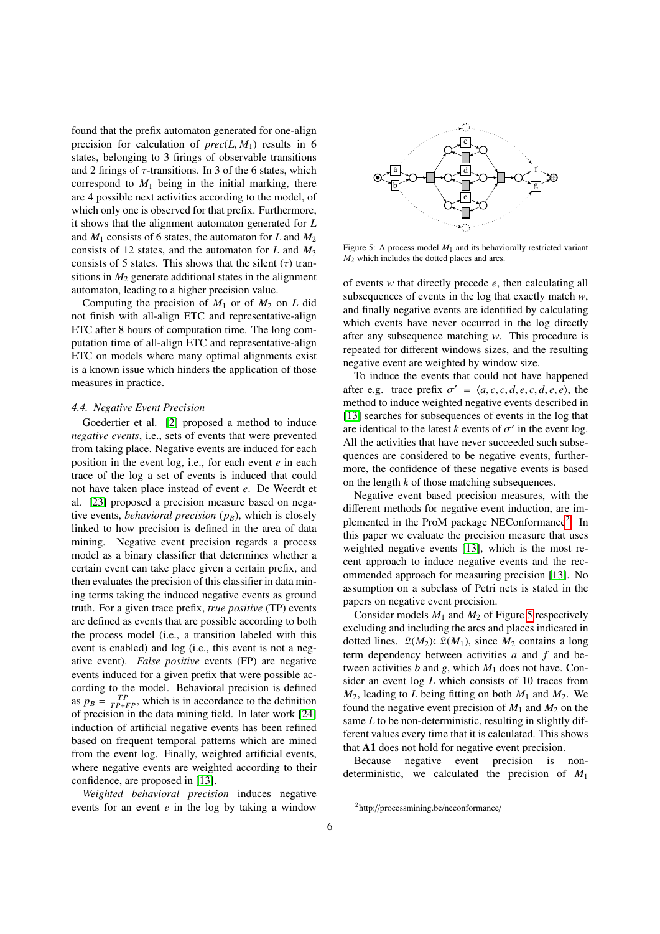found that the prefix automaton generated for one-align precision for calculation of  $prec(L, M_1)$  results in 6 states, belonging to 3 firings of observable transitions and 2 firings of  $\tau$ -transitions. In 3 of the 6 states, which correspond to  $M_1$  being in the initial marking, there are 4 possible next activities according to the model, of which only one is observed for that prefix. Furthermore, it shows that the alignment automaton generated for *L* and  $M_1$  consists of 6 states, the automaton for *L* and  $M_2$ consists of 12 states, and the automaton for *L* and *M*<sup>3</sup> consists of 5 states. This shows that the silent  $(τ)$  transitions in  $M<sub>2</sub>$  generate additional states in the alignment automaton, leading to a higher precision value.

Computing the precision of  $M_1$  or of  $M_2$  on *L* did not finish with all-align ETC and representative-align ETC after 8 hours of computation time. The long computation time of all-align ETC and representative-align ETC on models where many optimal alignments exist is a known issue which hinders the application of those measures in practice.

# *4.4. Negative Event Precision*

Goedertier et al. [\[2\]](#page-8-1) proposed a method to induce *negative events*, i.e., sets of events that were prevented from taking place. Negative events are induced for each position in the event log, i.e., for each event *e* in each trace of the log a set of events is induced that could not have taken place instead of event *e*. De Weerdt et al. [\[23\]](#page-8-22) proposed a precision measure based on negative events, *behavioral precision*  $(p_B)$ , which is closely linked to how precision is defined in the area of data mining. Negative event precision regards a process model as a binary classifier that determines whether a certain event can take place given a certain prefix, and then evaluates the precision of this classifier in data mining terms taking the induced negative events as ground truth. For a given trace prefix, *true positive* (TP) events are defined as events that are possible according to both the process model (i.e., a transition labeled with this event is enabled) and log (i.e., this event is not a negative event). *False positive* events (FP) are negative events induced for a given prefix that were possible according to the model. Behavioral precision is defined as  $p_B = \frac{TP}{TP+FP}$ , which is in accordance to the definition of precision in the data mining field. In later work [\[24\]](#page-8-23) induction of artificial negative events has been refined based on frequent temporal patterns which are mined from the event log. Finally, weighted artificial events, where negative events are weighted according to their confidence, are proposed in [\[13\]](#page-8-12).

*Weighted behavioral precision* induces negative events for an event *e* in the log by taking a window

<span id="page-5-1"></span>

Figure 5: A process model  $M_1$  and its behaviorally restricted variant *M*<sup>2</sup> which includes the dotted places and arcs.

of events *w* that directly precede *e*, then calculating all subsequences of events in the log that exactly match *w*, and finally negative events are identified by calculating which events have never occurred in the log directly after any subsequence matching *w*. This procedure is repeated for different windows sizes, and the resulting negative event are weighted by window size.

To induce the events that could not have happened after e.g. trace prefix  $\sigma' = \langle a, c, c, d, e, c, d, e, e \rangle$ , the method to induce weighted people's described in method to induce weighted negative events described in [\[13\]](#page-8-12) searches for subsequences of events in the log that are identical to the latest *k* events of  $\sigma'$  in the event log.<br>All the activities that have never succeeded such subse-All the activities that have never succeeded such subsequences are considered to be negative events, furthermore, the confidence of these negative events is based on the length *k* of those matching subsequences.

Negative event based precision measures, with the different methods for negative event induction, are im-plemented in the ProM package NEConformance<sup>[2](#page-5-0)</sup>. In this paper we evaluate the precision measure that uses weighted negative events [\[13\]](#page-8-12), which is the most recent approach to induce negative events and the recommended approach for measuring precision [\[13\]](#page-8-12). No assumption on a subclass of Petri nets is stated in the papers on negative event precision.

Consider models  $M_1$  and  $M_2$  of Figure [5](#page-5-1) respectively excluding and including the arcs and places indicated in dotted lines.  $\mathfrak{L}(M_2) \subset \mathfrak{L}(M_1)$ , since  $M_2$  contains a long term dependency between activities *a* and *f* and between activities  $b$  and  $g$ , which  $M_1$  does not have. Consider an event log *L* which consists of 10 traces from  $M_2$ , leading to *L* being fitting on both  $M_1$  and  $M_2$ . We found the negative event precision of  $M_1$  and  $M_2$  on the same *L* to be non-deterministic, resulting in slightly different values every time that it is calculated. This shows that A1 does not hold for negative event precision.

Because negative event precision is nondeterministic, we calculated the precision of *M*<sup>1</sup>

<span id="page-5-0"></span><sup>2</sup>http://processmining.be/neconformance/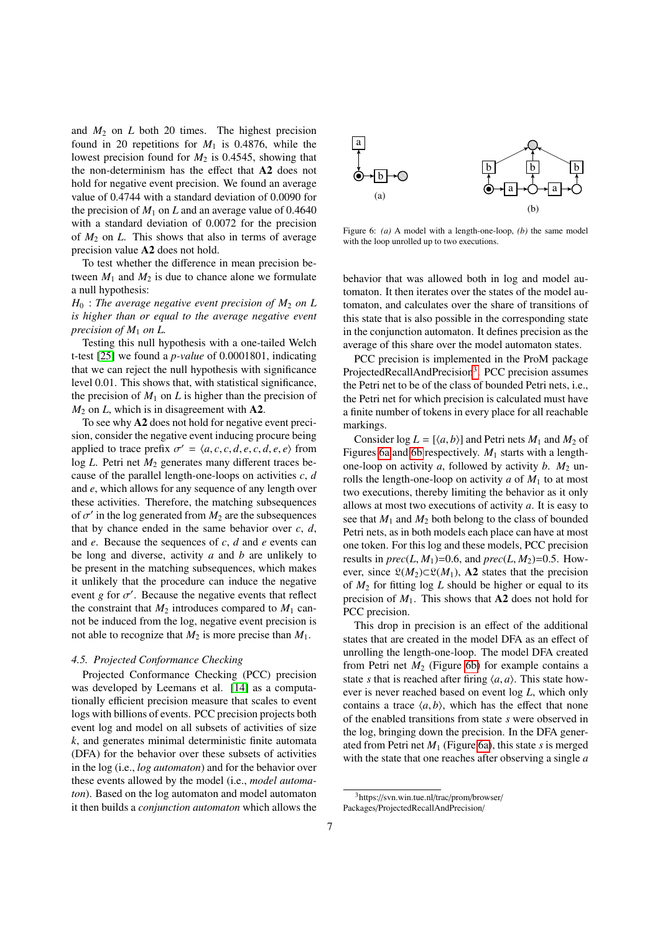and  $M_2$  on  $L$  both 20 times. The highest precision found in 20 repetitions for  $M_1$  is 0.4876, while the lowest precision found for  $M_2$  is 0.4545, showing that the non-determinism has the effect that A2 does not hold for negative event precision. We found an average value of 0.4744 with a standard deviation of 0.0090 for the precision of  $M_1$  on  $L$  and an average value of 0.4640 with a standard deviation of 0.0072 for the precision of  $M_2$  on  $L$ . This shows that also in terms of average precision value A2 does not hold.

To test whether the difference in mean precision between  $M_1$  and  $M_2$  is due to chance alone we formulate a null hypothesis:

 $H_0$ : *The average negative event precision of*  $M_2$  *on L is higher than or equal to the average negative event precision of M*<sup>1</sup> *on L.*

Testing this null hypothesis with a one-tailed Welch t-test [\[25\]](#page-8-24) we found a *p-value* of 0.0001801, indicating that we can reject the null hypothesis with significance level 0.01. This shows that, with statistical significance, the precision of  $M_1$  on  $L$  is higher than the precision of  $M_2$  on *L*, which is in disagreement with **A2**.

To see why A2 does not hold for negative event precision, consider the negative event inducing procure being applied to trace prefix  $\sigma' = \langle a, c, c, d, e, c, d, e, e \rangle$  from<br>log *I* Petri net *M*<sub>2</sub> generates many different traces belog *L*. Petri net  $M_2$  generates many different traces because of the parallel length-one-loops on activities *c*, *d* and *e*, which allows for any sequence of any length over these activities. Therefore, the matching subsequences of  $\sigma'$  in the log generated from  $M_2$  are the subsequences<br>that by chance ended in the same behavior over  $c, d$ that by chance ended in the same behavior over *c*, *d*, and *e*. Because the sequences of *c*, *d* and *e* events can be long and diverse, activity *a* and *b* are unlikely to be present in the matching subsequences, which makes it unlikely that the procedure can induce the negative event *g* for  $\sigma'$ . Because the negative events that reflect<br>the constraint that  $M_2$  introduces compared to  $M_3$  canthe constraint that  $M_2$  introduces compared to  $M_1$  cannot be induced from the log, negative event precision is not able to recognize that  $M_2$  is more precise than  $M_1$ .

# *4.5. Projected Conformance Checking*

Projected Conformance Checking (PCC) precision was developed by Leemans et al. [\[14\]](#page-8-13) as a computationally efficient precision measure that scales to event logs with billions of events. PCC precision projects both event log and model on all subsets of activities of size *k*, and generates minimal deterministic finite automata (DFA) for the behavior over these subsets of activities in the log (i.e., *log automaton*) and for the behavior over these events allowed by the model (i.e., *model automaton*). Based on the log automaton and model automaton it then builds a *conjunction automaton* which allows the

<span id="page-6-1"></span>

Figure 6: *(a)* A model with a length-one-loop, *(b)* the same model with the loop unrolled up to two executions.

behavior that was allowed both in log and model automaton. It then iterates over the states of the model automaton, and calculates over the share of transitions of this state that is also possible in the corresponding state in the conjunction automaton. It defines precision as the average of this share over the model automaton states.

PCC precision is implemented in the ProM package ProjectedRecallAndPrecision<sup>[3](#page-6-0)</sup>. PCC precision assumes the Petri net to be of the class of bounded Petri nets, i.e., the Petri net for which precision is calculated must have a finite number of tokens in every place for all reachable markings.

Consider  $log L = [\langle a, b \rangle]$  and Petri nets  $M_1$  and  $M_2$  of Figures [6a](#page-6-1) and [6b](#page-6-1) respectively. *M*<sup>1</sup> starts with a lengthone-loop on activity  $a$ , followed by activity  $b$ .  $M_2$  unrolls the length-one-loop on activity  $a$  of  $M_1$  to at most two executions, thereby limiting the behavior as it only allows at most two executions of activity *a*. It is easy to see that  $M_1$  and  $M_2$  both belong to the class of bounded Petri nets, as in both models each place can have at most one token. For this log and these models, PCC precision results in  $prec(L, M_1)=0.6$ , and  $prec(L, M_2)=0.5$ . However, since  $\mathfrak{L}(M_2) \subset \mathfrak{L}(M_1)$ , A2 states that the precision of *M*<sup>2</sup> for fitting log *L* should be higher or equal to its precision of  $M_1$ . This shows that **A2** does not hold for PCC precision.

This drop in precision is an effect of the additional states that are created in the model DFA as an effect of unrolling the length-one-loop. The model DFA created from Petri net  $M_2$  (Figure [6b\)](#page-6-1) for example contains a state *s* that is reached after firing  $\langle a, a \rangle$ . This state however is never reached based on event log *L*, which only contains a trace  $\langle a, b \rangle$ , which has the effect that none of the enabled transitions from state *s* were observed in the log, bringing down the precision. In the DFA generated from Petri net *M*<sup>1</sup> (Figure [6a\)](#page-6-1), this state *s* is merged with the state that one reaches after observing a single *a*

<span id="page-6-0"></span><sup>3</sup>https://svn.win.tue.nl/trac/prom/browser/ Packages/ProjectedRecallAndPrecision/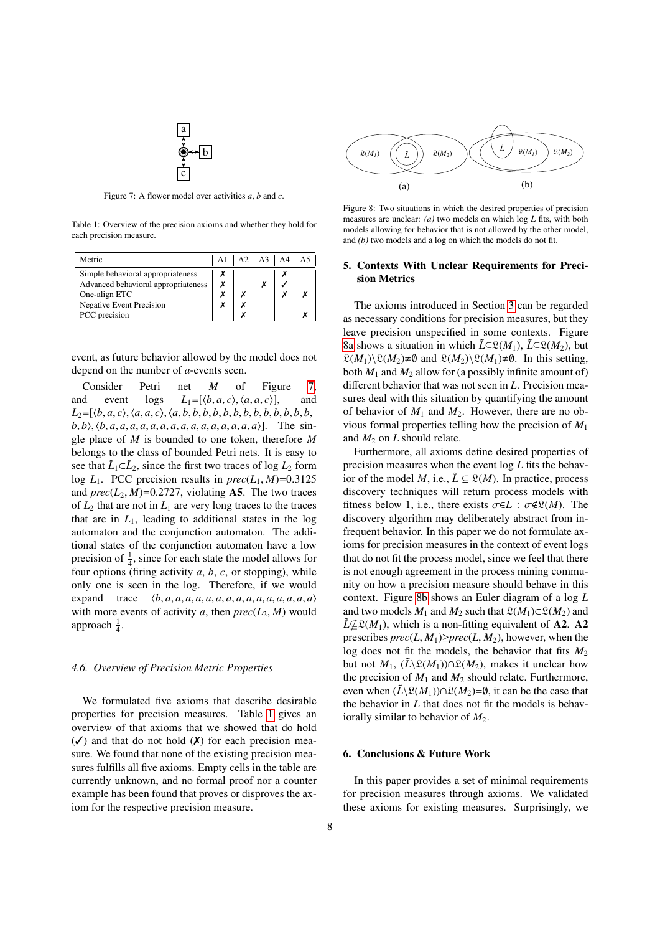

<span id="page-7-2"></span>Figure 7: A flower model over activities *a*, *b* and *c*.

<span id="page-7-3"></span>Table 1: Overview of the precision axioms and whether they hold for each precision measure.

| $A1 \mid A2 \mid A3 \mid A4 \mid A5$<br>Metric                                            |  |  |  |  |  |
|-------------------------------------------------------------------------------------------|--|--|--|--|--|
| Simple behavioral appropriateness<br>Advanced behavioral appropriateness<br>One-align ETC |  |  |  |  |  |
| <b>Negative Event Precision</b><br>PCC precision                                          |  |  |  |  |  |

event, as future behavior allowed by the model does not depend on the number of *a*-events seen.

Consider Petri net *M* of Figure [7,](#page-7-2) and event logs  $L_1 = [\langle b, a, c \rangle, \langle a, a, c \rangle]$ , and  $L_2 = [\langle b, a, c \rangle, \langle a, a, c \rangle, \langle a, b, b, b, b, b, b, b, b, b, b, c \rangle]$ *<sup>L</sup>*2=[h*b*, *<sup>a</sup>*, *<sup>c</sup>*i,h*a*, *<sup>a</sup>*, *<sup>c</sup>*i,h*a*, *<sup>b</sup>*, *<sup>b</sup>*, *<sup>b</sup>*, *<sup>b</sup>*, *<sup>b</sup>*, *<sup>b</sup>*, *<sup>b</sup>*, *<sup>b</sup>*, *<sup>b</sup>*, *<sup>b</sup>*, *<sup>b</sup>*, *<sup>b</sup>*, *<sup>b</sup>*,  $b, b$ ,  $\langle b, a, a, a, a, a, a, a, a, a, a, a, a, a, a, a, a \rangle$ . The single place of *M* is bounded to one token, therefore *M* belongs to the class of bounded Petri nets. It is easy to see that  $\tilde{L}_1 \subset \tilde{L}_2$ , since the first two traces of log  $L_2$  form log  $L_1$ . PCC precision results in  $prec(L_1, M)=0.3125$ and  $prec(L_2, M)=0.2727$ , violating **A5**. The two traces of  $L_2$  that are not in  $L_1$  are very long traces to the traces that are in  $L_1$ , leading to additional states in the log automaton and the conjunction automaton. The additional states of the conjunction automaton have a low precision of  $\frac{1}{4}$ , since for each state the model allows for four options (firing activity *a*, *b*, *c*, or stopping), while only one is seen in the log. Therefore, if we would expand trace  $\langle b, a, a, a, a, a, a, a, a, a, a, a, a, a, a, a \rangle$ with more events of activity *a*, then  $prec(L_2, M)$  would approach  $\frac{1}{4}$ .

### *4.6. Overview of Precision Metric Properties*

We formulated five axioms that describe desirable properties for precision measures. Table [1](#page-7-3) gives an overview of that axioms that we showed that do hold  $({\checkmark})$  and that do not hold  $({\checkmark})$  for each precision measure. We found that none of the existing precision measures fulfills all five axioms. Empty cells in the table are currently unknown, and no formal proof nor a counter example has been found that proves or disproves the axiom for the respective precision measure.

<span id="page-7-4"></span>

Figure 8: Two situations in which the desired properties of precision measures are unclear: *(a)* two models on which log *L* fits, with both models allowing for behavior that is not allowed by the other model, and *(b)* two models and a log on which the models do not fit.

# <span id="page-7-0"></span>5. Contexts With Unclear Requirements for Precision Metrics

The axioms introduced in Section [3](#page-1-0) can be regarded as necessary conditions for precision measures, but they leave precision unspecified in some contexts. Figure [8a](#page-7-4) shows a situation in which  $\tilde{L} \subseteq \mathfrak{L}(M_1)$ ,  $\tilde{L} \subseteq \mathfrak{L}(M_2)$ , but  $\mathfrak{L}(M_1)\backslash \mathfrak{L}(M_2) \neq \emptyset$  and  $\mathfrak{L}(M_2)\backslash \mathfrak{L}(M_1) \neq \emptyset$ . In this setting, both  $M_1$  and  $M_2$  allow for (a possibly infinite amount of) different behavior that was not seen in *L*. Precision measures deal with this situation by quantifying the amount of behavior of  $M_1$  and  $M_2$ . However, there are no obvious formal properties telling how the precision of *M*<sup>1</sup> and  $M_2$  on  $L$  should relate.

Furthermore, all axioms define desired properties of precision measures when the event log *L* fits the behavior of the model *M*, i.e.,  $\tilde{L} \subseteq \mathcal{L}(M)$ . In practice, process discovery techniques will return process models with fitness below 1, i.e., there exists  $\sigma \in L : \sigma \notin \mathfrak{L}(M)$ . The discovery algorithm may deliberately abstract from infrequent behavior. In this paper we do not formulate axioms for precision measures in the context of event logs that do not fit the process model, since we feel that there is not enough agreement in the process mining community on how a precision measure should behave in this context. Figure [8b](#page-7-4) shows an Euler diagram of a log *L* and two models  $M_1$  and  $M_2$  such that  $\mathfrak{L}(M_1) \subset \mathfrak{L}(M_2)$  and  $\tilde{L}\not\subseteq \mathfrak{L}(M_1)$ , which is a non-fitting equivalent of **A2.** A2 prescribes  $prec(L, M_1) \geq prec(L, M_2)$ , however, when the log does not fit the models, the behavior that fits  $M_2$ but not  $M_1$ ,  $(\tilde{L}\backslash \mathfrak{L}(M_1))\cap \mathfrak{L}(M_2)$ , makes it unclear how the precision of  $M_1$  and  $M_2$  should relate. Furthermore, even when  $(\tilde{L}\backslash \mathfrak{L}(M_1))\cap \mathfrak{L}(M_2)=\emptyset$ , it can be the case that the behavior in *L* that does not fit the models is behaviorally similar to behavior of  $M_2$ .

# <span id="page-7-1"></span>6. Conclusions & Future Work

In this paper provides a set of minimal requirements for precision measures through axioms. We validated these axioms for existing measures. Surprisingly, we